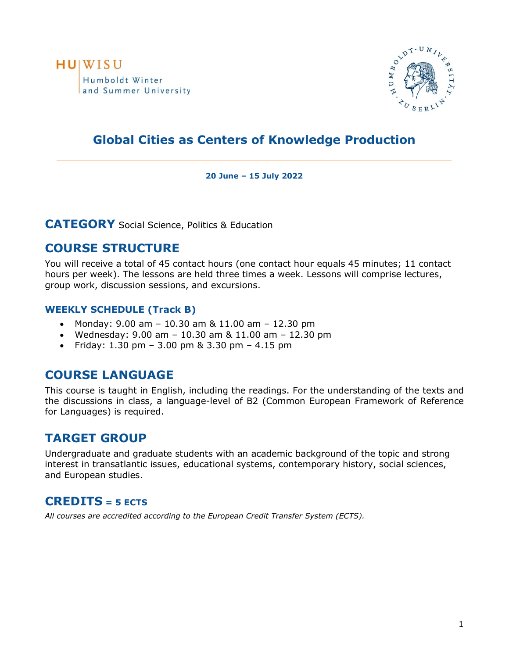

# **Global Cities as Centers of Knowledge Production**

### **20 June – 15 July 2022**

### **CATEGORY** Social Science, Politics & Education

## **COURSE STRUCTURE**

You will receive a total of 45 contact hours (one contact hour equals 45 minutes; 11 contact hours per week). The lessons are held three times a week. Lessons will comprise lectures, group work, discussion sessions, and excursions.

### **WEEKLY SCHEDULE (Track B)**

- Monday: 9.00 am 10.30 am & 11.00 am 12.30 pm
- Wednesday:  $9.00 \text{ am} 10.30 \text{ am} \& 11.00 \text{ am} 12.30 \text{ pm}$
- Friday:  $1.30 \text{ pm} 3.00 \text{ pm}$  &  $3.30 \text{ pm} 4.15 \text{ pm}$

### **COURSE LANGUAGE**

This course is taught in English, including the readings. For the understanding of the texts and the discussions in class, a language-level of B2 (Common European Framework of Reference for Languages) is required.

# **TARGET GROUP**

Undergraduate and graduate students with an academic background of the topic and strong interest in transatlantic issues, educational systems, contemporary history, social sciences, and European studies.

### **CREDITS = 5 ECTS**

*All courses are accredited according to the European Credit Transfer System (ECTS).*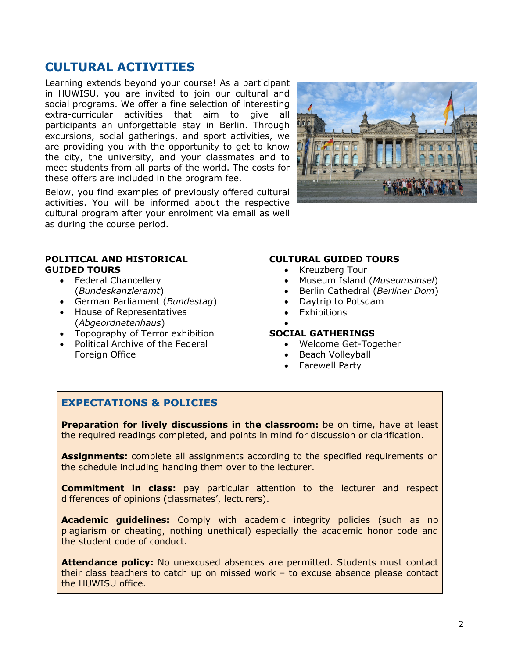# **CULTURAL ACTIVITIES**

Learning extends beyond your course! As a participant in HUWISU, you are invited to join our cultural and social programs. We offer a fine selection of interesting extra-curricular activities that aim to give all participants an unforgettable stay in Berlin. Through excursions, social gatherings, and sport activities, we are providing you with the opportunity to get to know the city, the university, and your classmates and to meet students from all parts of the world. The costs for these offers are included in the program fee.

Below, you find examples of previously offered cultural activities. You will be informed about the respective cultural program after your enrolment via email as well as during the course period.

#### **POLITICAL AND HISTORICAL GUIDED TOURS**

- Federal Chancellery (*Bundeskanzleramt*)
- German Parliament (*Bundestag*)
- House of Representatives (*Abgeordnetenhaus*)
- Topography of Terror exhibition
- Political Archive of the Federal Foreign Office

### **CULTURAL GUIDED TOURS**

- Kreuzberg Tour
- Museum Island (*Museumsinsel*)
- Berlin Cathedral (*Berliner Dom*)
- Daytrip to Potsdam
- **Exhibitions**

#### •

### **SOCIAL GATHERINGS**

- Welcome Get-Together
- Beach Volleyball
- Farewell Party

### **EXPECTATIONS & POLICIES**

**Preparation for lively discussions in the classroom:** be on time, have at least the required readings completed, and points in mind for discussion or clarification.

**Assignments:** complete all assignments according to the specified requirements on the schedule including handing them over to the lecturer.

**Commitment in class:** pay particular attention to the lecturer and respect differences of opinions (classmates', lecturers).

**Academic guidelines:** Comply with academic integrity policies (such as no plagiarism or cheating, nothing unethical) especially the academic honor code and the student code of conduct.

**Attendance policy:** No unexcused absences are permitted. Students must contact their class teachers to catch up on missed work – to excuse absence please contact the HUWISU office.

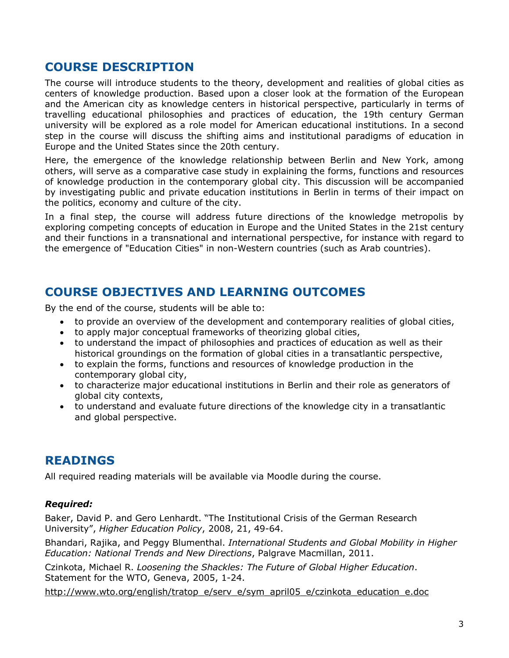# **COURSE DESCRIPTION**

The course will introduce students to the theory, development and realities of global cities as centers of knowledge production. Based upon a closer look at the formation of the European and the American city as knowledge centers in historical perspective, particularly in terms of travelling educational philosophies and practices of education, the 19th century German university will be explored as a role model for American educational institutions. In a second step in the course will discuss the shifting aims and institutional paradigms of education in Europe and the United States since the 20th century.

Here, the emergence of the knowledge relationship between Berlin and New York, among others, will serve as a comparative case study in explaining the forms, functions and resources of knowledge production in the contemporary global city. This discussion will be accompanied by investigating public and private education institutions in Berlin in terms of their impact on the politics, economy and culture of the city.

In a final step, the course will address future directions of the knowledge metropolis by exploring competing concepts of education in Europe and the United States in the 21st century and their functions in a transnational and international perspective, for instance with regard to the emergence of "Education Cities" in non-Western countries (such as Arab countries).

## **COURSE OBJECTIVES AND LEARNING OUTCOMES**

By the end of the course, students will be able to:

- to provide an overview of the development and contemporary realities of global cities,
- to apply major conceptual frameworks of theorizing global cities,
- to understand the impact of philosophies and practices of education as well as their historical groundings on the formation of global cities in a transatlantic perspective,
- to explain the forms, functions and resources of knowledge production in the contemporary global city,
- to characterize major educational institutions in Berlin and their role as generators of global city contexts,
- to understand and evaluate future directions of the knowledge city in a transatlantic and global perspective.

# **READINGS**

All required reading materials will be available via Moodle during the course.

### *Required:*

Baker, David P. and Gero Lenhardt. "The Institutional Crisis of the German Research University", *Higher Education Policy*, 2008, 21, 49-64.

Bhandari, Rajika, and Peggy Blumenthal. *International Students and Global Mobility in Higher Education: National Trends and New Directions*, Palgrave Macmillan, 2011.

Czinkota, Michael R. *Loosening the Shackles: The Future of Global Higher Education*. Statement for the WTO, Geneva, 2005, 1-24.

http://www.wto.org/english/tratop\_e/serv\_e/sym\_april05\_e/czinkota\_education\_e.doc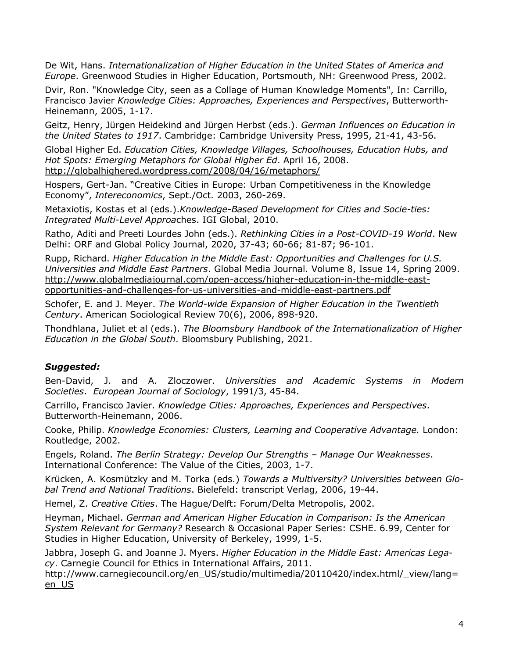De Wit, Hans. *Internationalization of Higher Education in the United States of America and Europe*. Greenwood Studies in Higher Education, Portsmouth, NH: Greenwood Press, 2002.

Dvir, Ron. "Knowledge City, seen as a Collage of Human Knowledge Moments", In: Carrillo, Francisco Javier *Knowledge Cities: Approaches, Experiences and Perspectives*, Butterworth-Heinemann, 2005, 1-17.

Geitz, Henry, Jürgen Heidekind and Jürgen Herbst (eds.). *German Influences on Education in the United States to 1917*. Cambridge: Cambridge University Press, 1995, 21-41, 43-56.

Global Higher Ed. *Education Cities, Knowledge Villages, Schoolhouses, Education Hubs, and Hot Spots: Emerging Metaphors for Global Higher Ed*. April 16, 2008. http://globalhighered.wordpress.com/2008/04/16/metaphors/

Hospers, Gert-Jan. "Creative Cities in Europe: Urban Competitiveness in the Knowledge Economy", *Intereconomics*, Sept./Oct. 2003, 260-269.

Metaxiotis, Kostas et al (eds.).*Knowledge-Based Development for Cities and Socie-ties: Integrated Multi-Level Approa*ches. IGI Global, 2010.

Ratho, Aditi and Preeti Lourdes John (eds.). *Rethinking Cities in a Post-COVID-19 World*. New Delhi: ORF and Global Policy Journal, 2020, 37-43; 60-66; 81-87; 96-101.

Rupp, Richard. *Higher Education in the Middle East: Opportunities and Challenges for U.S. Universities and Middle East Partners*. Global Media Journal. Volume 8, Issue 14, Spring 2009. http://www.globalmediajournal.com/open-access/higher-education-in-the-middle-eastopportunities-and-challenges-for-us-universities-and-middle-east-partners.pdf

Schofer, E. and J. Meyer. *The World-wide Expansion of Higher Education in the Twentieth Century*. American Sociological Review 70(6), 2006, 898-920.

Thondhlana, Juliet et al (eds.). *The Bloomsbury Handbook of the Internationalization of Higher Education in the Global South*. Bloomsbury Publishing, 2021.

### *Suggested:*

Ben-David, J. and A. Zloczower. *Universities and Academic Systems in Modern Societies*. *European Journal of Sociology*, 1991/3, 45-84.

Carrillo, Francisco Javier. *Knowledge Cities: Approaches, Experiences and Perspectives*. Butterworth-Heinemann, 2006.

Cooke, Philip. *Knowledge Economies: Clusters, Learning and Cooperative Advantage.* London: Routledge, 2002.

Engels, Roland. *The Berlin Strategy: Develop Our Strengths – Manage Our Weaknesses*. International Conference: The Value of the Cities, 2003, 1-7.

Krücken, A. Kosmützky and M. Torka (eds.) *Towards a Multiversity? Universities between Global Trend and National Traditions*. Bielefeld: transcript Verlag, 2006, 19-44.

Hemel, Z. *Creative Cities*. The Hague/Delft: Forum/Delta Metropolis, 2002.

Heyman, Michael. *German and American Higher Education in Comparison: Is the American System Relevant for Germany?* Research & Occasional Paper Series: CSHE. 6.99, Center for Studies in Higher Education, University of Berkeley, 1999, 1-5.

Jabbra, Joseph G. and Joanne J. Myers. *Higher Education in the Middle East: Americas Legacy*. Carnegie Council for Ethics in International Affairs, 2011.

http://www.carnegiecouncil.org/en\_US/studio/multimedia/20110420/index.html/\_view/lang= en\_US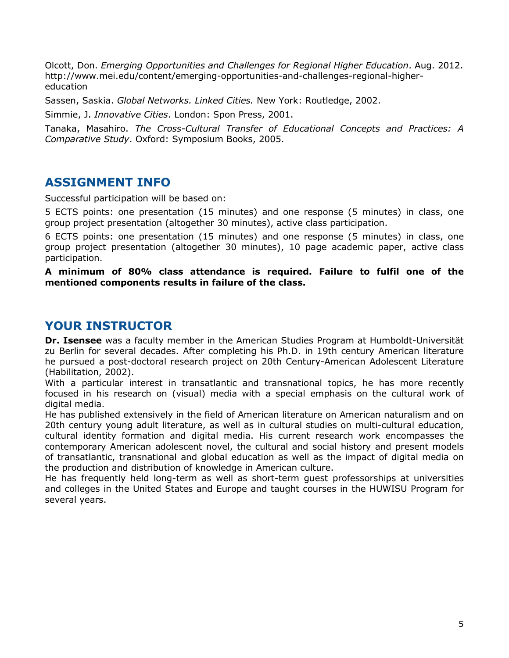Olcott, Don. *Emerging Opportunities and Challenges for Regional Higher Education*. Aug. 2012. http://www.mei.edu/content/emerging-opportunities-and-challenges-regional-highereducation

Sassen, Saskia. *Global Networks. Linked Cities.* New York: Routledge, 2002.

Simmie, J. *Innovative Cities*. London: Spon Press, 2001.

Tanaka, Masahiro. *The Cross-Cultural Transfer of Educational Concepts and Practices: A Comparative Study*. Oxford: Symposium Books, 2005.

### **ASSIGNMENT INFO**

Successful participation will be based on:

5 ECTS points: one presentation (15 minutes) and one response (5 minutes) in class, one group project presentation (altogether 30 minutes), active class participation.

6 ECTS points: one presentation (15 minutes) and one response (5 minutes) in class, one group project presentation (altogether 30 minutes), 10 page academic paper, active class participation.

**A minimum of 80% class attendance is required. Failure to fulfil one of the mentioned components results in failure of the class.**

### **YOUR INSTRUCTOR**

**Dr. Isensee** was a faculty member in the American Studies Program at Humboldt-Universität zu Berlin for several decades. After completing his Ph.D. in 19th century American literature he pursued a post-doctoral research project on 20th Century-American Adolescent Literature (Habilitation, 2002).

With a particular interest in transatlantic and transnational topics, he has more recently focused in his research on (visual) media with a special emphasis on the cultural work of digital media.

He has published extensively in the field of American literature on American naturalism and on 20th century young adult literature, as well as in cultural studies on multi-cultural education, cultural identity formation and digital media. His current research work encompasses the contemporary American adolescent novel, the cultural and social history and present models of transatlantic, transnational and global education as well as the impact of digital media on the production and distribution of knowledge in American culture.

He has frequently held long-term as well as short-term guest professorships at universities and colleges in the United States and Europe and taught courses in the HUWISU Program for several years.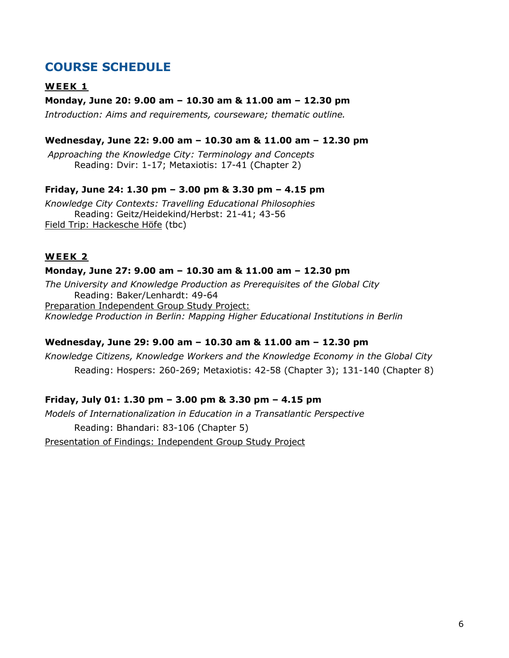# **COURSE SCHEDULE**

### **WEEK 1**

### **Monday, June 20: 9.00 am – 10.30 am & 11.00 am – 12.30 pm**

*Introduction: Aims and requirements, courseware; thematic outline.*

### **Wednesday, June 22: 9.00 am – 10.30 am & 11.00 am – 12.30 pm**

*Approaching the Knowledge City: Terminology and Concepts* Reading: Dvir: 1-17; Metaxiotis: 17-41 (Chapter 2)

### **Friday, June 24: 1.30 pm – 3.00 pm & 3.30 pm – 4.15 pm**

*Knowledge City Contexts: Travelling Educational Philosophies* Reading: Geitz/Heidekind/Herbst: 21-41; 43-56 Field Trip: Hackesche Höfe (tbc)

### **WEEK 2**

### **Monday, June 27: 9.00 am – 10.30 am & 11.00 am – 12.30 pm**

*The University and Knowledge Production as Prerequisites of the Global City*  Reading: Baker/Lenhardt: 49-64 Preparation Independent Group Study Project: *Knowledge Production in Berlin: Mapping Higher Educational Institutions in Berlin*

### **Wednesday, June 29: 9.00 am – 10.30 am & 11.00 am – 12.30 pm**

*Knowledge Citizens, Knowledge Workers and the Knowledge Economy in the Global City* Reading: Hospers: 260-269; Metaxiotis: 42-58 (Chapter 3); 131-140 (Chapter 8)

### **Friday, July 01: 1.30 pm – 3.00 pm & 3.30 pm – 4.15 pm**

*Models of Internationalization in Education in a Transatlantic Perspective* Reading: Bhandari: 83-106 (Chapter 5) Presentation of Findings: Independent Group Study Project